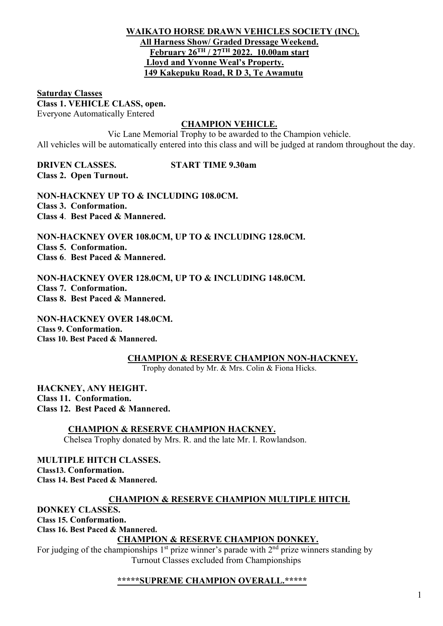## WAIKATO HORSE DRAWN VEHICLES SOCIETY (INC). All Harness Show/ Graded Dressage Weekend. February 26TH / 27TH 2022. 10.00am start Lloyd and Yvonne Weal's Property. 149 Kakepuku Road, R D 3, Te Awamutu

### Saturday Classes Class 1. VEHICLE CLASS, open. Everyone Automatically Entered

## CHAMPION VEHICLE.

Vic Lane Memorial Trophy to be awarded to the Champion vehicle. All vehicles will be automatically entered into this class and will be judged at random throughout the day.

DRIVEN CLASSES. START TIME 9.30am Class 2. Open Turnout.

NON-HACKNEY UP TO & INCLUDING 108.0CM. Class 3. Conformation. Class 4. Best Paced & Mannered.

NON-HACKNEY OVER 108.0CM, UP TO & INCLUDING 128.0CM. Class 5. Conformation. Class 6. Best Paced & Mannered.

NON-HACKNEY OVER 128.0CM, UP TO & INCLUDING 148.0CM. Class 7. Conformation. Class 8. Best Paced & Mannered.

NON-HACKNEY OVER 148.0CM. Class 9. Conformation. Class 10. Best Paced & Mannered.

CHAMPION & RESERVE CHAMPION NON-HACKNEY.

Trophy donated by Mr. & Mrs. Colin & Fiona Hicks.

HACKNEY, ANY HEIGHT. Class 11. Conformation. Class 12. Best Paced & Mannered.

CHAMPION & RESERVE CHAMPION HACKNEY.

Chelsea Trophy donated by Mrs. R. and the late Mr. I. Rowlandson.

MULTIPLE HITCH CLASSES. Class13. Conformation. Class 14. Best Paced & Mannered.

# CHAMPION & RESERVE CHAMPION MULTIPLE HITCH.

DONKEY CLASSES. Class 15. Conformation.

Class 16. Best Paced & Mannered.

# CHAMPION & RESERVE CHAMPION DONKEY.

For judging of the championships  $1<sup>st</sup>$  prize winner's parade with  $2<sup>nd</sup>$  prize winners standing by Turnout Classes excluded from Championships

# \*\*\*\*\*SUPREME CHAMPION OVERALL.\*\*\*\*\*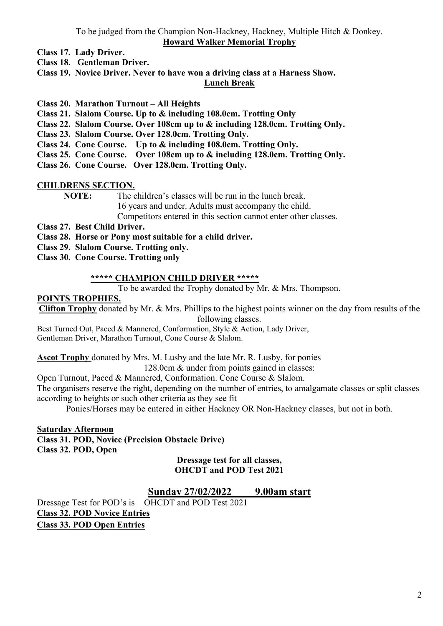To be judged from the Champion Non-Hackney, Hackney, Multiple Hitch & Donkey. Howard Walker Memorial Trophy

Class 17. Lady Driver.

Class 18. Gentleman Driver.

Class 19. Novice Driver. Never to have won a driving class at a Harness Show.

### Lunch Break

- Class 20. Marathon Turnout All Heights
- Class 21. Slalom Course. Up to & including 108.0cm. Trotting Only
- Class 22. Slalom Course. Over 108cm up to & including 128.0cm. Trotting Only.
- Class 23. Slalom Course. Over 128.0cm. Trotting Only.
- Class 24. Cone Course. Up to & including 108.0cm. Trotting Only.
- Class 25. Cone Course. Over 108cm up to & including 128.0cm. Trotting Only.

Class 26. Cone Course. Over 128.0cm. Trotting Only.

### CHILDRENS SECTION.

NOTE: The children's classes will be run in the lunch break. 16 years and under. Adults must accompany the child. Competitors entered in this section cannot enter other classes.

- Class 27. Best Child Driver.
- Class 28. Horse or Pony most suitable for a child driver.
- Class 29. Slalom Course. Trotting only.
- Class 30. Cone Course. Trotting only

### \*\*\*\*\* CHAMPION CHILD DRIVER \*\*\*\*\*

To be awarded the Trophy donated by Mr. & Mrs. Thompson.

### POINTS TROPHIES.

Clifton Trophy donated by Mr. & Mrs. Phillips to the highest points winner on the day from results of the following classes.

Best Turned Out, Paced & Mannered, Conformation, Style & Action, Lady Driver, Gentleman Driver, Marathon Turnout, Cone Course & Slalom.

Ascot Trophy donated by Mrs. M. Lusby and the late Mr. R. Lusby, for ponies

128.0cm & under from points gained in classes:

Open Turnout, Paced & Mannered, Conformation. Cone Course & Slalom.

The organisers reserve the right, depending on the number of entries, to amalgamate classes or split classes according to heights or such other criteria as they see fit

Ponies/Horses may be entered in either Hackney OR Non-Hackney classes, but not in both.

Saturday Afternoon Class 31. POD, Novice (Precision Obstacle Drive) Class 32. POD, Open

Dressage test for all classes, OHCDT and POD Test 2021

## Sunday 27/02/2022 9.00am start

Dressage Test for POD's is OHCDT and POD Test 2021 Class 32. POD Novice Entries Class 33. POD Open Entries